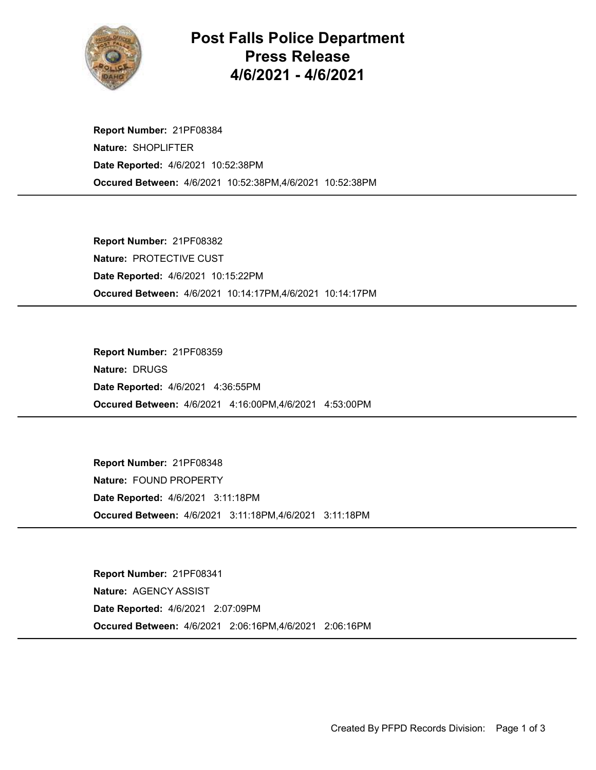

## Post Falls Police Department Press Release 4/6/2021 - 4/6/2021

Occured Between: 4/6/2021 10:52:38PM,4/6/2021 10:52:38PM Report Number: 21PF08384 Nature: SHOPLIFTER Date Reported: 4/6/2021 10:52:38PM

Occured Between: 4/6/2021 10:14:17PM,4/6/2021 10:14:17PM Report Number: 21PF08382 Nature: PROTECTIVE CUST Date Reported: 4/6/2021 10:15:22PM

Occured Between: 4/6/2021 4:16:00PM,4/6/2021 4:53:00PM Report Number: 21PF08359 Nature: DRUGS Date Reported: 4/6/2021 4:36:55PM

Occured Between: 4/6/2021 3:11:18PM,4/6/2021 3:11:18PM Report Number: 21PF08348 Nature: FOUND PROPERTY Date Reported: 4/6/2021 3:11:18PM

Occured Between: 4/6/2021 2:06:16PM,4/6/2021 2:06:16PM Report Number: 21PF08341 Nature: AGENCY ASSIST Date Reported: 4/6/2021 2:07:09PM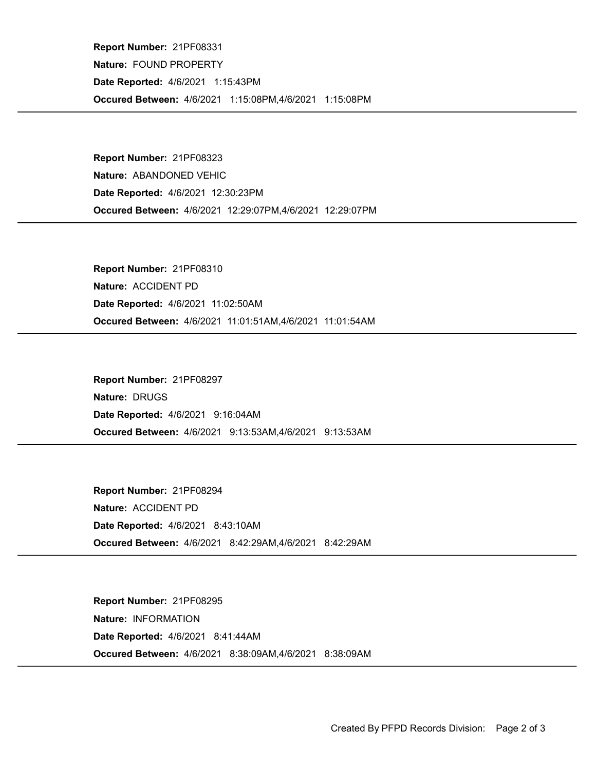Occured Between: 4/6/2021 1:15:08PM,4/6/2021 1:15:08PM Report Number: 21PF08331 Nature: FOUND PROPERTY Date Reported: 4/6/2021 1:15:43PM

Occured Between: 4/6/2021 12:29:07PM,4/6/2021 12:29:07PM Report Number: 21PF08323 Nature: ABANDONED VEHIC Date Reported: 4/6/2021 12:30:23PM

Occured Between: 4/6/2021 11:01:51AM,4/6/2021 11:01:54AM Report Number: 21PF08310 Nature: ACCIDENT PD Date Reported: 4/6/2021 11:02:50AM

Occured Between: 4/6/2021 9:13:53AM,4/6/2021 9:13:53AM Report Number: 21PF08297 Nature: DRUGS Date Reported: 4/6/2021 9:16:04AM

Occured Between: 4/6/2021 8:42:29AM,4/6/2021 8:42:29AM Report Number: 21PF08294 Nature: ACCIDENT PD Date Reported: 4/6/2021 8:43:10AM

Occured Between: 4/6/2021 8:38:09AM,4/6/2021 8:38:09AM Report Number: 21PF08295 Nature: INFORMATION Date Reported: 4/6/2021 8:41:44AM